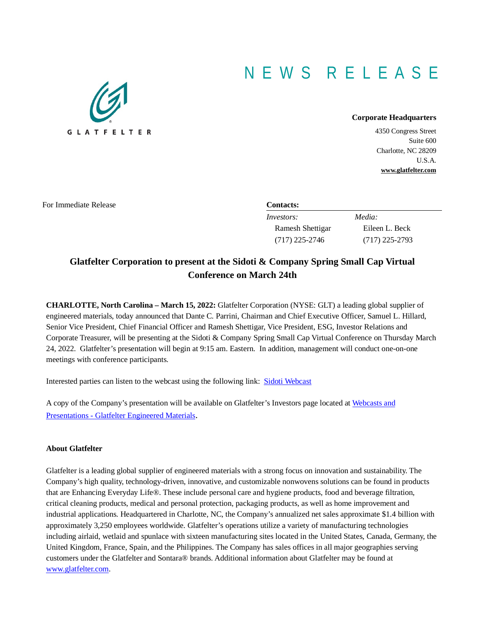## N E W S R E L E A S E



## **Corporate Headquarters**

4350 Congress Street Suite 600 Charlotte, NC 28209 U.S.A. **www.glatfelter.com**

For Immediate Release **Contacts:** 

| <i>Investors:</i> | Media:           |
|-------------------|------------------|
| Ramesh Shettigar  | Eileen L. Beck   |
| $(717)$ 225-2746  | $(717)$ 225-2793 |

## **Glatfelter Corporation to present at the Sidoti & Company Spring Small Cap Virtual Conference on March 24th**

**CHARLOTTE, North Carolina – March 15, 2022:** Glatfelter Corporation (NYSE: GLT) a leading global supplier of engineered materials, today announced that Dante C. Parrini, Chairman and Chief Executive Officer, Samuel L. Hillard, Senior Vice President, Chief Financial Officer and Ramesh Shettigar, Vice President, ESG, Investor Relations and Corporate Treasurer, will be presenting at the Sidoti & Company Spring Small Cap Virtual Conference on Thursday March 24, 2022. Glatfelter's presentation will begin at 9:15 am. Eastern. In addition, management will conduct one-on-one meetings with conference participants.

Interested parties can listen to the webcast using the following link: [Sidoti Webcast](https://sidoti.zoom.us/webinar/register/WN_LQlmkfSzQVaNyyn-O97wRw) 

A copy of the Company's presentation will be available on Glatfelter's Investors page located at [Webcasts and](https://www.glatfelter.com/investors/webcasts-and-presentations/)  Presentations - [Glatfelter Engineered Materials.](https://www.glatfelter.com/investors/webcasts-and-presentations/)

## **About Glatfelter**

Glatfelter is a leading global supplier of engineered materials with a strong focus on innovation and sustainability. The Company's high quality, technology-driven, innovative, and customizable nonwovens solutions can be found in products that are Enhancing Everyday Life®. These include personal care and hygiene products, food and beverage filtration, critical cleaning products, medical and personal protection, packaging products, as well as home improvement and industrial applications. Headquartered in Charlotte, NC, the Company's annualized net sales approximate \$1.4 billion with approximately 3,250 employees worldwide. Glatfelter's operations utilize a variety of manufacturing technologies including airlaid, wetlaid and spunlace with sixteen manufacturing sites located in the United States, Canada, Germany, the United Kingdom, France, Spain, and the Philippines. The Company has sales offices in all major geographies serving customers under the Glatfelter and Sontara® brands. Additional information about Glatfelter may be found at [www.glatfelter.com.](http://www.glatfelter.com/)